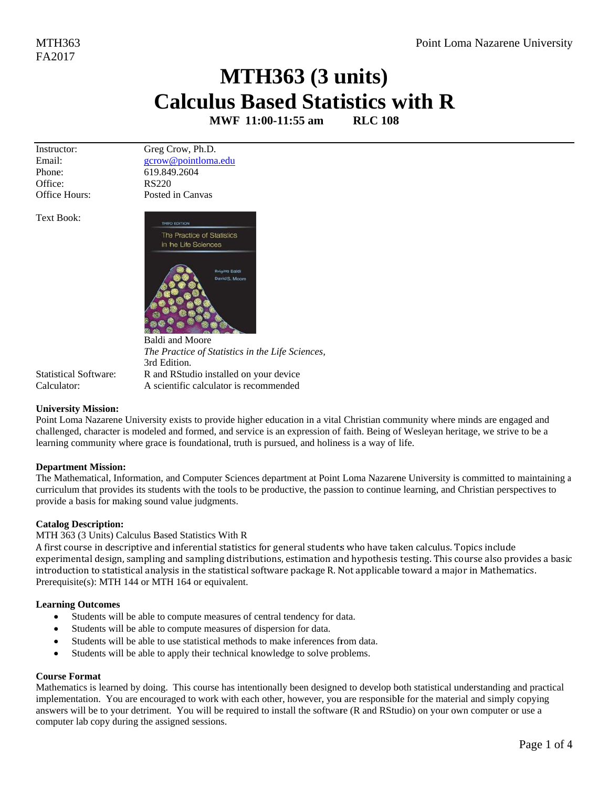# MTH363 (3 units) **Calculus Based Statistics with R**

MWF 11:00-11:55 am **RLC 108** 

Instructor: Email: Phone: Office: Office Hours: Greg Crow, Ph.D. gcrow@pointloma.edu 619.849.2604 **RS220** Posted in Canvas

**Text Book:** 



3rd Edition.

The Practice of Statistics in the Life Sciences,

R and RStudio installed on your device

A scientific calculator is recommended

**Statistical Software:** Calculator:

# **University Mission:**

Point Loma Nazarene University exists to provide higher education in a vital Christian community where minds are engaged and challenged, character is modeled and formed, and service is an expression of faith. Being of Wesleyan heritage, we strive to be a learning community where grace is foundational, truth is pursued, and holiness is a way of life.

# **Department Mission:**

The Mathematical, Information, and Computer Sciences department at Point Loma Nazarene University is committed to maintaining a curriculum that provides its students with the tools to be productive, the passion to continue learning, and Christian perspectives to provide a basis for making sound value judgments.

# **Catalog Description:**

# MTH 363 (3 Units) Calculus Based Statistics With R

A first course in descriptive and inferential statistics for general students who have taken calculus. Topics include experimental design, sampling and sampling distributions, estimation and hypothesis testing. This course also provides a basic introduction to statistical analysis in the statistical software package R. Not applicable toward a major in Mathematics. Prerequisite(s): MTH 144 or MTH 164 or equivalent.

# **Learning Outcomes**

- $\bullet$ Students will be able to compute measures of central tendency for data.
- Students will be able to compute measures of dispersion for data.
- Students will be able to use statistical methods to make inferences from data.  $\bullet$
- Students will be able to apply their technical knowledge to solve problems.

# **Course Format**

Mathematics is learned by doing. This course has intentionally been designed to develop both statistical understanding and practical implementation. You are encouraged to work with each other, however, you are responsible for the material and simply copying answers will be to your detriment. You will be required to install the software (R and RStudio) on your own computer or use a computer lab copy during the assigned sessions.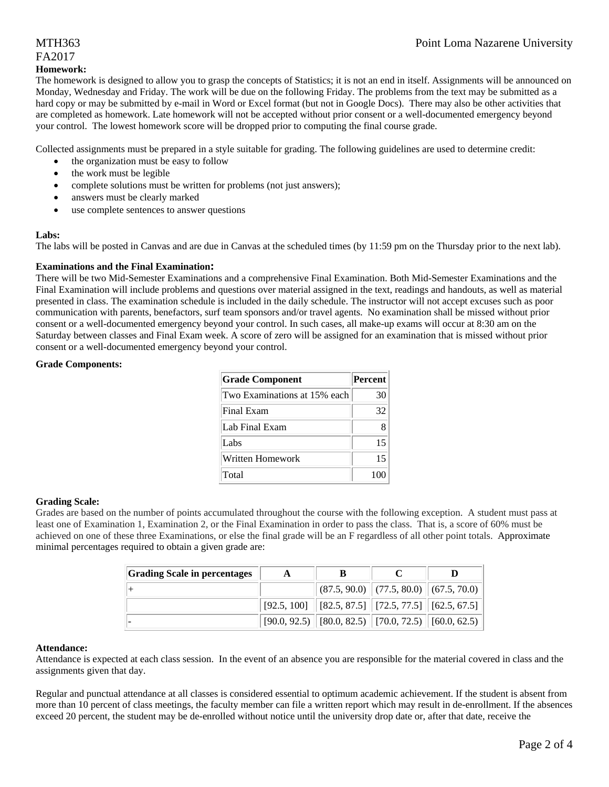# MTH363 Point Loma Nazarene University

# FA2017

#### **Homework:**

The homework is designed to allow you to grasp the concepts of Statistics; it is not an end in itself. Assignments will be announced on Monday, Wednesday and Friday. The work will be due on the following Friday. The problems from the text may be submitted as a hard copy or may be submitted by e-mail in Word or Excel format (but not in Google Docs). There may also be other activities that are completed as homework. Late homework will not be accepted without prior consent or a well-documented emergency beyond your control. The lowest homework score will be dropped prior to computing the final course grade.

Collected assignments must be prepared in a style suitable for grading. The following guidelines are used to determine credit:

- the organization must be easy to follow
- the work must be legible
- complete solutions must be written for problems (not just answers);
- answers must be clearly marked
- use complete sentences to answer questions

#### **Labs:**

The labs will be posted in Canvas and are due in Canvas at the scheduled times (by 11:59 pm on the Thursday prior to the next lab).

#### **Examinations and the Final Examination:**

There will be two Mid-Semester Examinations and a comprehensive Final Examination. Both Mid-Semester Examinations and the Final Examination will include problems and questions over material assigned in the text, readings and handouts, as well as material presented in class. The examination schedule is included in the daily schedule. The instructor will not accept excuses such as poor communication with parents, benefactors, surf team sponsors and/or travel agents. No examination shall be missed without prior consent or a well-documented emergency beyond your control. In such cases, all make-up exams will occur at 8:30 am on the Saturday between classes and Final Exam week. A score of zero will be assigned for an examination that is missed without prior consent or a well-documented emergency beyond your control.

#### **Grade Components:**

| <b>Grade Component</b>       | <b>Percent</b> |
|------------------------------|----------------|
| Two Examinations at 15% each | 30             |
| Final Exam                   | 32             |
| Lab Final Exam               |                |
| Labs                         | 15             |
| Written Homework             | 15             |
| Total                        |                |

## **Grading Scale:**

Grades are based on the number of points accumulated throughout the course with the following exception. A student must pass at least one of Examination 1, Examination 2, or the Final Examination in order to pass the class. That is, a score of 60% must be achieved on one of these three Examinations, or else the final grade will be an F regardless of all other point totals. Approximate minimal percentages required to obtain a given grade are:

| <b>Grading Scale in percentages</b> |                                                                                                                 |  |
|-------------------------------------|-----------------------------------------------------------------------------------------------------------------|--|
|                                     | $\ $ (87.5, 90.0) $\ $ (77.5, 80.0) $\ $ (67.5, 70.0) $\ $                                                      |  |
|                                     | $\mid$ [92.5, 100] $\mid$ [82.5, 87.5] $\mid$ [72.5, 77.5] $\mid$ [62.5, 67.5] $\mid$                           |  |
|                                     | $\vert$ [90.0, 92.5) $\vert\vert$ [80.0, 82.5) $\vert\vert$ [70.0, 72.5) $\vert\vert$ [60.0, 62.5) $\vert\vert$ |  |

#### **Attendance:**

Attendance is expected at each class session. In the event of an absence you are responsible for the material covered in class and the assignments given that day.

Regular and punctual attendance at all classes is considered essential to optimum academic achievement. If the student is absent from more than 10 percent of class meetings, the faculty member can file a written report which may result in de-enrollment. If the absences exceed 20 percent, the student may be de-enrolled without notice until the university drop date or, after that date, receive the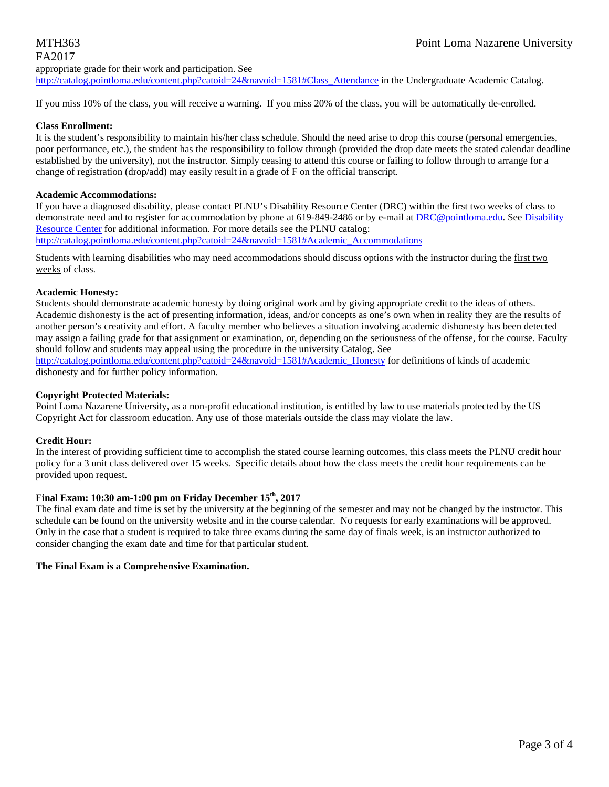# MTH363 Point Loma Nazarene University FA2017 appropriate grade for their work and participation. See

http://catalog.pointloma.edu/content.php?catoid=24&navoid=1581#Class\_Attendance in the Undergraduate Academic Catalog.

If you miss 10% of the class, you will receive a warning. If you miss 20% of the class, you will be automatically de-enrolled.

## **Class Enrollment:**

It is the student's responsibility to maintain his/her class schedule. Should the need arise to drop this course (personal emergencies, poor performance, etc.), the student has the responsibility to follow through (provided the drop date meets the stated calendar deadline established by the university), not the instructor. Simply ceasing to attend this course or failing to follow through to arrange for a change of registration (drop/add) may easily result in a grade of F on the official transcript.

#### **Academic Accommodations:**

If you have a diagnosed disability, please contact PLNU's Disability Resource Center (DRC) within the first two weeks of class to demonstrate need and to register for accommodation by phone at 619-849-2486 or by e-mail at DRC@pointloma.edu. See Disability Resource Center for additional information. For more details see the PLNU catalog:

http://catalog.pointloma.edu/content.php?catoid=24&navoid=1581#Academic\_Accommodations

Students with learning disabilities who may need accommodations should discuss options with the instructor during the first two weeks of class.

#### **Academic Honesty:**

Students should demonstrate academic honesty by doing original work and by giving appropriate credit to the ideas of others. Academic dishonesty is the act of presenting information, ideas, and/or concepts as one's own when in reality they are the results of another person's creativity and effort. A faculty member who believes a situation involving academic dishonesty has been detected may assign a failing grade for that assignment or examination, or, depending on the seriousness of the offense, for the course. Faculty should follow and students may appeal using the procedure in the university Catalog. See

http://catalog.pointloma.edu/content.php?catoid=24&navoid=1581#Academic\_Honesty for definitions of kinds of academic dishonesty and for further policy information.

#### **Copyright Protected Materials:**

Point Loma Nazarene University, as a non-profit educational institution, is entitled by law to use materials protected by the US Copyright Act for classroom education. Any use of those materials outside the class may violate the law.

## **Credit Hour:**

In the interest of providing sufficient time to accomplish the stated course learning outcomes, this class meets the PLNU credit hour policy for a 3 unit class delivered over 15 weeks. Specific details about how the class meets the credit hour requirements can be provided upon request.

# **Final Exam: 10:30 am-1:00 pm on Friday December 15th, 2017**

The final exam date and time is set by the university at the beginning of the semester and may not be changed by the instructor. This schedule can be found on the university website and in the course calendar. No requests for early examinations will be approved. Only in the case that a student is required to take three exams during the same day of finals week, is an instructor authorized to consider changing the exam date and time for that particular student.

## **The Final Exam is a Comprehensive Examination.**